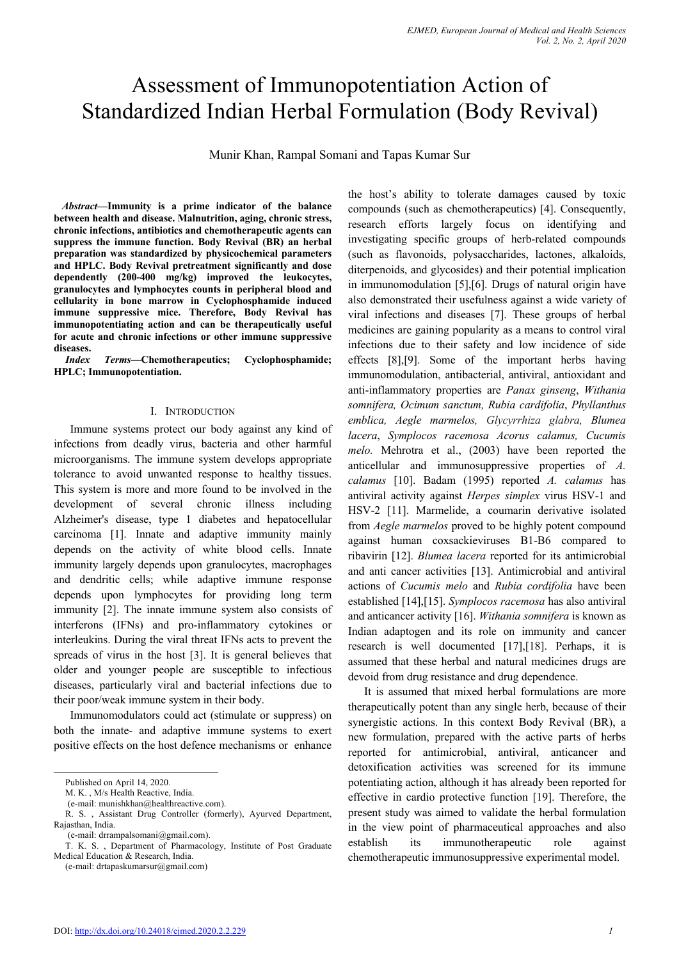# Assessment of Immunopotentiation Action of Standardized Indian Herbal Formulation (Body Revival)

Munir Khan, Rampal Somani and Tapas Kumar Sur

*Abstract—***Immunity is a prime indicator of the balance between health and disease. Malnutrition, aging, chronic stress, chronic infections, antibiotics and chemotherapeutic agents can suppress the immune function. Body Revival (BR) an herbal preparation was standardized by physicochemical parameters and HPLC. Body Revival pretreatment significantly and dose dependently (200-400 mg/kg) improved the leukocytes, granulocytes and lymphocytes counts in peripheral blood and cellularity in bone marrow in Cyclophosphamide induced immune suppressive mice. Therefore, Body Revival has immunopotentiating action and can be therapeutically useful for acute and chronic infections or other immune suppressive diseases.**

*Index Terms—***Chemotherapeutics; Cyclophosphamide; HPLC; Immunopotentiation.**

### I. INTRODUCTION

Immune systems protect our body against any kind of infections from deadly virus, bacteria and other harmful microorganisms. The immune system develops appropriate tolerance to avoid unwanted response to healthy tissues. This system is more and more found to be involved in the development of several chronic illness including Alzheimer's disease, type 1 diabetes and hepatocellular carcinoma [1]. Innate and adaptive immunity mainly depends on the activity of white blood cells. Innate immunity largely depends upon granulocytes, macrophages and dendritic cells; while adaptive immune response depends upon lymphocytes for providing long term immunity [2]. The innate immune system also consists of interferons (IFNs) and pro-inflammatory cytokines or interleukins. During the viral threat IFNs acts to prevent the spreads of virus in the host [3]. It is general believes that older and younger people are susceptible to infectious diseases, particularly viral and bacterial infections due to their poor/weak immune system in their body.

Immunomodulators could act (stimulate or suppress) on both the innate- and adaptive immune systems to exert positive effects on the host defence mechanisms or enhance

(e-mail: drtapaskumarsur@gmail.com)

the host's ability to tolerate damages caused by toxic compounds (such as chemotherapeutics) [4]. Consequently, research efforts largely focus on identifying and investigating specific groups of herb-related compounds (such as flavonoids, polysaccharides, lactones, alkaloids, diterpenoids, and glycosides) and their potential implication in immunomodulation [5],[6]. Drugs of natural origin have also demonstrated their usefulness against a wide variety of viral infections and diseases [7]. These groups of herbal medicines are gaining popularity as a means to control viral infections due to their safety and low incidence of side effects [8],[9]. Some of the important herbs having immunomodulation, antibacterial, antiviral, antioxidant and anti-inflammatory properties are *Panax ginseng*, *Withania somnifera, Ocimum sanctum, Rubia cardifolia*, *Phyllanthus emblica, Aegle marmelos, Glycyrrhiza glabra, Blumea lacera*, *Symplocos racemosa Acorus calamus, Cucumis melo.* Mehrotra et al., (2003) have been reported the anticellular and immunosuppressive properties of *A. calamus* [10]. Badam (1995) reported *A. calamus* has antiviral activity against *Herpes simplex* virus HSV-1 and HSV-2 [11]. Marmelide, a coumarin derivative isolated from *Aegle marmelos* proved to be highly potent compound against human coxsackieviruses B1-B6 compared to ribavirin [12]. *Blumea lacera* reported for its antimicrobial and anti cancer activities [13]. Antimicrobial and antiviral actions of *Cucumis melo* and *Rubia cordifolia* have been established [14],[15]. *Symplocos racemosa* has also antiviral and anticancer activity [16]. *Withania somnifera* is known as Indian adaptogen and its role on immunity and cancer research is well documented [17],[18]. Perhaps, it is assumed that these herbal and natural medicines drugs are devoid from drug resistance and drug dependence.

It is assumed that mixed herbal formulations are more therapeutically potent than any single herb, because of their synergistic actions. In this context Body Revival (BR), a new formulation, prepared with the active parts of herbs reported for antimicrobial, antiviral, anticancer and detoxification activities was screened for its immune potentiating action, although it has already been reported for effective in cardio protective function [19]. Therefore, the present study was aimed to validate the herbal formulation in the view point of pharmaceutical approaches and also establish its immunotherapeutic role against chemotherapeutic immunosuppressive experimental model.

Published on April 14, 2020.

M. K. , M/s Health Reactive, India.

<sup>(</sup>e-mail: munishkhan@healthreactive.com).

R. S. , Assistant Drug Controller (formerly), Ayurved Department, Rajasthan, India.

<sup>(</sup>e-mail: drrampalsomani@gmail.com).

T. K. S. , Department of Pharmacology, Institute of Post Graduate Medical Education & Research, India.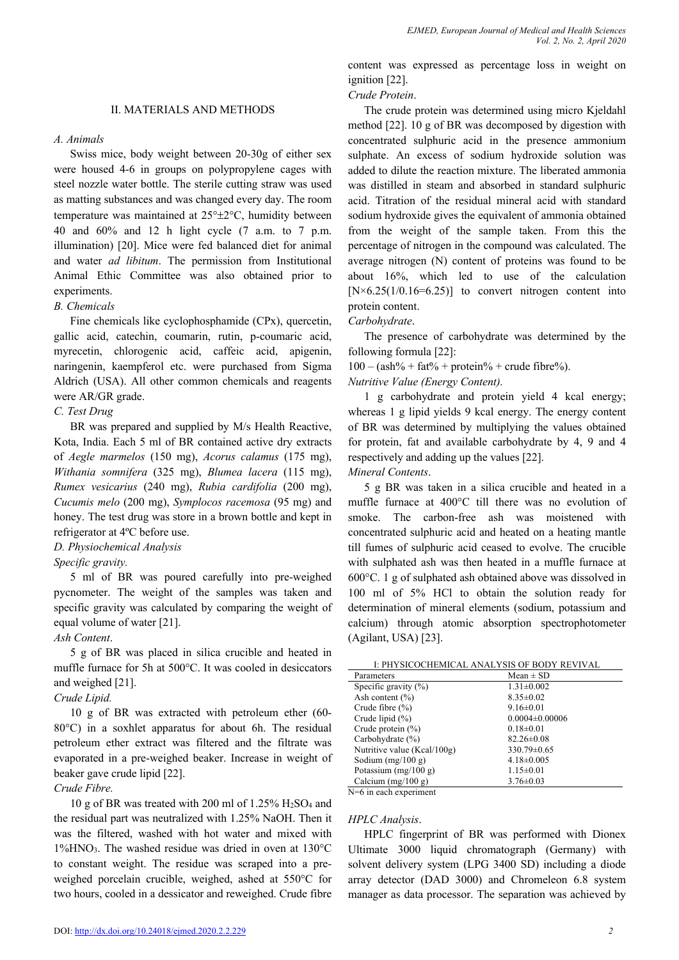#### *A. Animals*

Swiss mice, body weight between 20-30g of either sex were housed 4-6 in groups on polypropylene cages with steel nozzle water bottle. The sterile cutting straw was used as matting substances and was changed every day. The room temperature was maintained at 25°±2°C, humidity between 40 and 60% and 12 h light cycle (7 a.m. to 7 p.m. illumination) [20]. Mice were fed balanced diet for animal and water *ad libitum*. The permission from Institutional Animal Ethic Committee was also obtained prior to experiments.

## *B. Chemicals*

Fine chemicals like cyclophosphamide (CPx), quercetin, gallic acid, catechin, coumarin, rutin, p-coumaric acid, myrecetin, chlorogenic acid, caffeic acid, apigenin, naringenin, kaempferol etc. were purchased from Sigma Aldrich (USA). All other common chemicals and reagents were AR/GR grade.

#### *C. Test Drug*

BR was prepared and supplied by M/s Health Reactive, Kota, India. Each 5 ml of BR contained active dry extracts of *Aegle marmelos* (150 mg), *Acorus calamus* (175 mg), *Withania somnifera* (325 mg), *Blumea lacera* (115 mg), *Rumex vesicarius* (240 mg), *Rubia cardifolia* (200 mg), *Cucumis melo* (200 mg), *Symplocos racemosa* (95 mg) and honey. The test drug was store in a brown bottle and kept in refrigerator at 4ºC before use.

#### *D. Physiochemical Analysis*

*Specific gravity.* 

5 ml of BR was poured carefully into pre-weighed pycnometer. The weight of the samples was taken and specific gravity was calculated by comparing the weight of equal volume of water [21].

## *Ash Content*.

5 g of BR was placed in silica crucible and heated in muffle furnace for 5h at 500°C. It was cooled in desiccators and weighed [21].

## *Crude Lipid.*

10 g of BR was extracted with petroleum ether (60- 80°C) in a soxhlet apparatus for about 6h. The residual petroleum ether extract was filtered and the filtrate was evaporated in a pre-weighed beaker. Increase in weight of beaker gave crude lipid [22].

## *Crude Fibre.*

10 g of BR was treated with 200 ml of 1.25% H2SO4 and the residual part was neutralized with 1.25% NaOH. Then it was the filtered, washed with hot water and mixed with  $1\%$ HNO<sub>3</sub>. The washed residue was dried in oven at  $130^{\circ}$ C to constant weight. The residue was scraped into a preweighed porcelain crucible, weighed, ashed at 550°C for two hours, cooled in a dessicator and reweighed. Crude fibre

content was expressed as percentage loss in weight on ignition [22].

#### *Crude Protein*.

The crude protein was determined using micro Kjeldahl method [22]. 10 g of BR was decomposed by digestion with concentrated sulphuric acid in the presence ammonium sulphate. An excess of sodium hydroxide solution was added to dilute the reaction mixture. The liberated ammonia was distilled in steam and absorbed in standard sulphuric acid. Titration of the residual mineral acid with standard sodium hydroxide gives the equivalent of ammonia obtained from the weight of the sample taken. From this the percentage of nitrogen in the compound was calculated. The average nitrogen (N) content of proteins was found to be about 16%, which led to use of the calculation  $[N \times 6.25(1/0.16=6.25)]$  to convert nitrogen content into protein content.

## *Carbohydrate*.

The presence of carbohydrate was determined by the following formula [22]:

 $100 - (ash\% + fat\% + protein\% + crude fibre\%).$ 

*Nutritive Value (Energy Content).*

1 g carbohydrate and protein yield 4 kcal energy; whereas 1 g lipid yields 9 kcal energy. The energy content of BR was determined by multiplying the values obtained for protein, fat and available carbohydrate by 4, 9 and 4 respectively and adding up the values [22].

*Mineral Contents*.

5 g BR was taken in a silica crucible and heated in a muffle furnace at 400°C till there was no evolution of smoke. The carbon-free ash was moistened with concentrated sulphuric acid and heated on a heating mantle till fumes of sulphuric acid ceased to evolve. The crucible with sulphated ash was then heated in a muffle furnace at 600°C. 1 g of sulphated ash obtained above was dissolved in 100 ml of 5% HCl to obtain the solution ready for determination of mineral elements (sodium, potassium and calcium) through atomic absorption spectrophotometer (Agilant, USA) [23].

| I: PHYSICOCHEMICAL ANALYSIS OF BODY REVIVAL |                      |  |  |
|---------------------------------------------|----------------------|--|--|
| Parameters                                  | $Mean \pm SD$        |  |  |
| Specific gravity $(\%)$                     | $1.31 \pm 0.002$     |  |  |
| Ash content $(\% )$                         | $8.35 \pm 0.02$      |  |  |
| Crude fibre $(\% )$                         | $9.16 \pm 0.01$      |  |  |
| Crude lipid $(\%)$                          | $0.0004 \pm 0.00006$ |  |  |
| Crude protein $(\% )$                       | $0.18 \pm 0.01$      |  |  |
| Carbohydrate $(\% )$                        | $82.26 \pm 0.08$     |  |  |
| Nutritive value (Kcal/100g)                 | 330.79±0.65          |  |  |
| Sodium $(mg/100 g)$                         | $4.18 \pm 0.005$     |  |  |
| Potassium $(mg/100 g)$                      | $1.15 \pm 0.01$      |  |  |
| Calcium $(mg/100 g)$                        | $3.76 \pm 0.03$      |  |  |

N=6 in each experiment

#### *HPLC Analysis*.

HPLC fingerprint of BR was performed with Dionex Ultimate 3000 liquid chromatograph (Germany) with solvent delivery system (LPG 3400 SD) including a diode array detector (DAD 3000) and Chromeleon 6.8 system manager as data processor. The separation was achieved by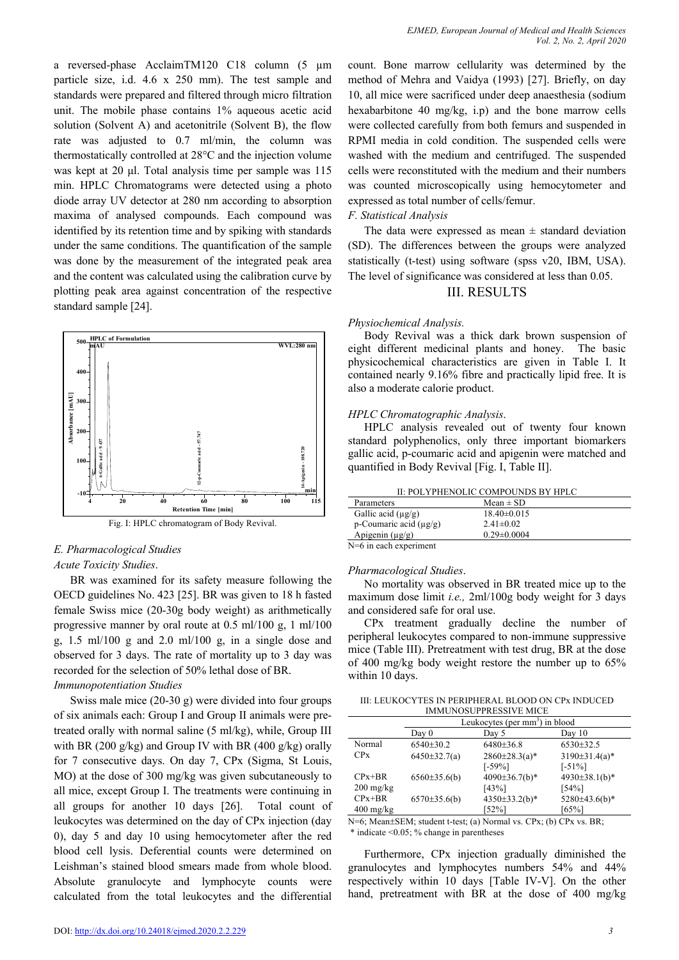a reversed-phase AcclaimTM120 C18 column (5 µm particle size, i.d. 4.6 x 250 mm). The test sample and standards were prepared and filtered through micro filtration unit. The mobile phase contains 1% aqueous acetic acid solution (Solvent A) and acetonitrile (Solvent B), the flow rate was adjusted to 0.7 ml/min, the column was thermostatically controlled at 28°C and the injection volume was kept at 20 μl. Total analysis time per sample was 115 min. HPLC Chromatograms were detected using a photo diode array UV detector at 280 nm according to absorption maxima of analysed compounds. Each compound was identified by its retention time and by spiking with standards under the same conditions. The quantification of the sample was done by the measurement of the integrated peak area and the content was calculated using the calibration curve by plotting peak area against concentration of the respective standard sample [24].



Fig. I: HPLC chromatogram of Body Revival.

### *E. Pharmacological Studies*

#### *Acute Toxicity Studies*.

BR was examined for its safety measure following the OECD guidelines No. 423 [25]. BR was given to 18 h fasted female Swiss mice (20-30g body weight) as arithmetically progressive manner by oral route at 0.5 ml/100 g, 1 ml/100 g, 1.5 ml/100 g and 2.0 ml/100 g, in a single dose and observed for 3 days. The rate of mortality up to 3 day was recorded for the selection of 50% lethal dose of BR.

### *Immunopotentiation Studies*

Swiss male mice (20-30 g) were divided into four groups of six animals each: Group I and Group II animals were pretreated orally with normal saline (5 ml/kg), while, Group III with BR (200 g/kg) and Group IV with BR (400 g/kg) orally for 7 consecutive days. On day 7, CPx (Sigma, St Louis, MO) at the dose of 300 mg/kg was given subcutaneously to all mice, except Group I. The treatments were continuing in all groups for another 10 days [26]. Total count of leukocytes was determined on the day of CPx injection (day 0), day 5 and day 10 using hemocytometer after the red blood cell lysis. Deferential counts were determined on Leishman's stained blood smears made from whole blood. Absolute granulocyte and lymphocyte counts were calculated from the total leukocytes and the differential

count. Bone marrow cellularity was determined by the method of Mehra and Vaidya (1993) [27]. Briefly, on day 10, all mice were sacrificed under deep anaesthesia (sodium hexabarbitone 40 mg/kg, i.p) and the bone marrow cells were collected carefully from both femurs and suspended in RPMI media in cold condition. The suspended cells were washed with the medium and centrifuged. The suspended cells were reconstituted with the medium and their numbers was counted microscopically using hemocytometer and expressed as total number of cells/femur.

## *F. Statistical Analysis*

The data were expressed as mean  $\pm$  standard deviation (SD). The differences between the groups were analyzed statistically (t-test) using software (spss v20, IBM, USA). The level of significance was considered at less than 0.05.

## III. RESULTS

## *Physiochemical Analysis.*

Body Revival was a thick dark brown suspension of eight different medicinal plants and honey. The basic physicochemical characteristics are given in Table I. It contained nearly 9.16% fibre and practically lipid free. It is also a moderate calorie product.

## *HPLC Chromatographic Analysis*.

HPLC analysis revealed out of twenty four known standard polyphenolics, only three important biomarkers gallic acid, p-coumaric acid and apigenin were matched and quantified in Body Revival [Fig. I, Table II].

| II: POLYPHENOLIC COMPOUNDS BY HPLC |                   |  |
|------------------------------------|-------------------|--|
| Parameters                         | Mean $\pm$ SD     |  |
| Gallic acid $(\mu g/g)$            | $18.40 \pm 0.015$ |  |
| p-Coumaric acid $(\mu g/g)$        | $2.41 \pm 0.02$   |  |
| Apigenin $(\mu g/g)$               | $0.29 \pm 0.0004$ |  |
| $N-6$ in angle ovnariment          |                   |  |

N=6 in each experiment

## *Pharmacological Studies*.

No mortality was observed in BR treated mice up to the maximum dose limit *i.e.,* 2ml/100g body weight for 3 days and considered safe for oral use.

CPx treatment gradually decline the number of peripheral leukocytes compared to non-immune suppressive mice (Table III). Pretreatment with test drug, BR at the dose of 400 mg/kg body weight restore the number up to 65% within 10 days.

III: LEUKOCYTES IN PERIPHERAL BLOOD ON CPx INDUCED IMMUNOSUPPRESSIVE MICE

|                                   | Leukocytes (per mm <sup>3</sup> ) in blood |                                  |                              |
|-----------------------------------|--------------------------------------------|----------------------------------|------------------------------|
|                                   | Day 0                                      | Day 5                            | Day $10$                     |
| Normal                            | $6540+30.2$                                | 6480±36.8                        | $6530\pm32.5$                |
| CPx                               | $6450 \pm 32.7(a)$                         | $2860 \pm 28.3$ (a)*<br>$[-59%]$ | $3190±31.4(a)*$<br>$[-51\%]$ |
| $CPx + BR$<br>$200 \text{ mg/kg}$ | $6560\pm35.6(b)$                           | 4090 $\pm$ 36.7(b)*<br>[43%]     | 4930±38.1(b)*<br>154%        |
| $CPx + BR$<br>$400 \text{ mg/kg}$ | $6570 \pm 35.6(b)$                         | $4350\pm33.2(b)*$<br>[52%]       | $5280\pm43.6(b)*$<br>[65%]   |

N=6; Mean±SEM; student t-test; (a) Normal vs. CPx; (b) CPx vs. BR;  $*$  indicate  $\leq 0.05$ ; % change in parentheses

Furthermore, CPx injection gradually diminished the granulocytes and lymphocytes numbers 54% and 44% respectively within 10 days [Table IV-V]. On the other hand, pretreatment with BR at the dose of 400 mg/kg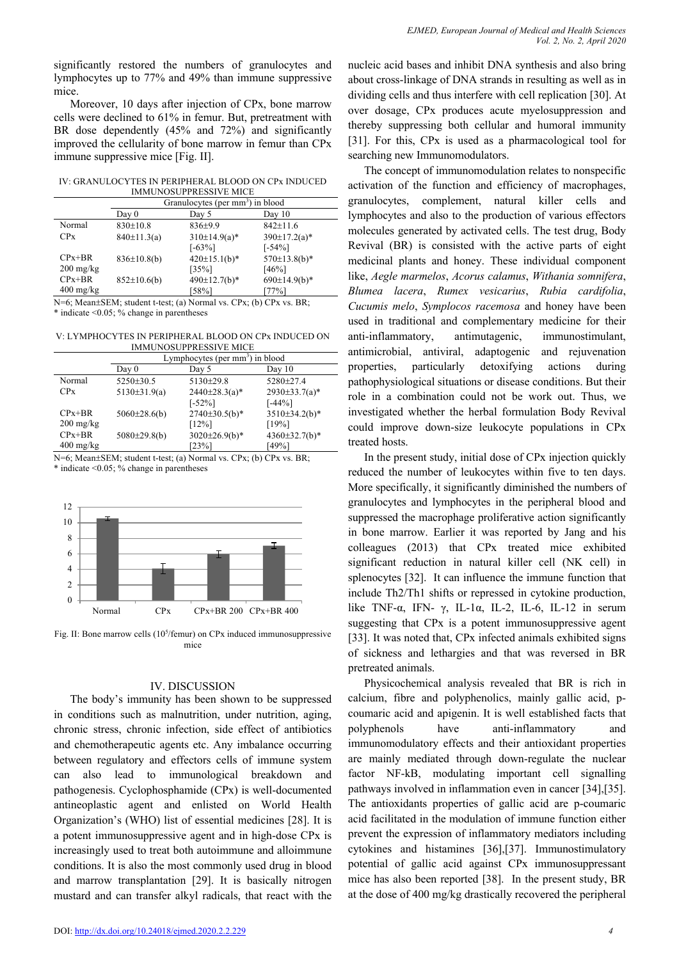significantly restored the numbers of granulocytes and lymphocytes up to 77% and 49% than immune suppressive mice.

Moreover, 10 days after injection of CPx, bone marrow cells were declined to 61% in femur. But, pretreatment with BR dose dependently (45% and 72%) and significantly improved the cellularity of bone marrow in femur than CPx immune suppressive mice [Fig. II].

IV: GRANULOCYTES IN PERIPHERAL BLOOD ON CPx INDUCED IMMUNOSUPPRESSIVE MICE

|                                   | Granulocytes (per mm <sup>3</sup> ) in blood |                  |                     |
|-----------------------------------|----------------------------------------------|------------------|---------------------|
|                                   | Day 0                                        | Day 5            | Day 10              |
| Normal                            | $830 \pm 10.8$                               | $836+9.9$        | $842 \pm 11.6$      |
| CPx                               | $840 \pm 11.3(a)$                            | $310\pm14.9(a)*$ | $390 \pm 17.2(a)^*$ |
|                                   |                                              | $[-63\%]$        | $[-54\%]$           |
| $CPx + BR$                        | $836\pm10.8(b)$                              | $420\pm15.1(b)*$ | $570\pm13.8(b)*$    |
| $200 \frac{\text{mg}}{\text{kg}}$ |                                              | [35%]            | [46%]               |
| $CPx + BR$                        | $852\pm10.6(b)$                              | $490\pm12.7(b)*$ | $690±14.9(b)*$      |
| $400 \frac{\text{mg}}{\text{kg}}$ |                                              | [58%]            | [77%]               |

N=6; Mean±SEM; student t-test; (a) Normal vs. CPx; (b) CPx vs. BR; \* indicate <0.05; % change in parentheses

V: LYMPHOCYTES IN PERIPHERAL BLOOD ON CPx INDUCED ON IMMUNOSUPPRESSIVE MICE

|                                   | Lymphocytes (per mm <sup>3</sup> ) in blood |                                  |                      |
|-----------------------------------|---------------------------------------------|----------------------------------|----------------------|
|                                   | Day 0                                       | Day 5                            | Day $10$             |
| Normal                            | $5250 \pm 30.5$                             | $5130 \pm 29.8$                  | 5280+27.4            |
| CPx                               | $5130\pm31.9(a)$                            | $2440 \pm 28.3$ (a)*             | $2930 \pm 33.7(a)^*$ |
|                                   |                                             | $[-52\%]$                        | $[-44%]$             |
| $CPx + BR$                        | $5060 \pm 28.6(b)$                          | $2740\pm30.5(b)*$                | $3510\pm34.2(b)*$    |
| $200 \frac{\text{mg}}{\text{kg}}$ |                                             | $[12\%]$                         | [19%]                |
| $CPx + BR$                        | 5080±29.8(b)                                | $3020 \pm 26.9$ <sub>(b)</sub> * | $4360 \pm 32.7(b)^*$ |
| $400 \frac{\text{mg}}{\text{kg}}$ |                                             | [23%]                            | [49%]                |

N=6; Mean±SEM; student t-test; (a) Normal vs. CPx; (b) CPx vs. BR; \* indicate <0.05; % change in parentheses



Fig. II: Bone marrow cells (10<sup>5</sup>/femur) on CPx induced immunosuppressive mice

## IV. DISCUSSION

The body's immunity has been shown to be suppressed in conditions such as malnutrition, under nutrition, aging, chronic stress, chronic infection, side effect of antibiotics and chemotherapeutic agents etc. Any imbalance occurring between regulatory and effectors cells of immune system can also lead to immunological breakdown and pathogenesis. Cyclophosphamide (CPx) is well-documented antineoplastic agent and enlisted on World Health Organization's (WHO) list of essential medicines [28]. It is a potent immunosuppressive agent and in high-dose CPx is increasingly used to treat both autoimmune and alloimmune conditions. It is also the most commonly used drug in blood and marrow transplantation [29]. It is basically nitrogen mustard and can transfer alkyl radicals, that react with the nucleic acid bases and inhibit DNA synthesis and also bring about cross-linkage of DNA strands in resulting as well as in dividing cells and thus interfere with cell replication [30]. At over dosage, CPx produces acute myelosuppression and thereby suppressing both cellular and humoral immunity [31]. For this, CPx is used as a pharmacological tool for searching new Immunomodulators.

The concept of immunomodulation relates to nonspecific activation of the function and efficiency of macrophages, granulocytes, complement, natural killer cells and lymphocytes and also to the production of various effectors molecules generated by activated cells. The test drug, Body Revival (BR) is consisted with the active parts of eight medicinal plants and honey. These individual component like, *Aegle marmelos*, *Acorus calamus*, *Withania somnifera*, *Blumea lacera*, *Rumex vesicarius*, *Rubia cardifolia*, *Cucumis melo*, *Symplocos racemosa* and honey have been used in traditional and complementary medicine for their anti-inflammatory, antimutagenic, immunostimulant, antimicrobial, antiviral, adaptogenic and rejuvenation properties, particularly detoxifying actions during pathophysiological situations or disease conditions. But their role in a combination could not be work out. Thus, we investigated whether the herbal formulation Body Revival could improve down-size leukocyte populations in CPx treated hosts.

In the present study, initial dose of CPx injection quickly reduced the number of leukocytes within five to ten days. More specifically, it significantly diminished the numbers of granulocytes and lymphocytes in the peripheral blood and suppressed the macrophage proliferative action significantly in bone marrow. Earlier it was reported by Jang and his colleagues (2013) that CPx treated mice exhibited significant reduction in natural killer cell (NK cell) in splenocytes [32]. It can influence the immune function that include Th2/Th1 shifts or repressed in cytokine production, like TNF-α, IFN-  $\gamma$ , IL-1α, IL-2, IL-6, IL-12 in serum suggesting that CPx is a potent immunosuppressive agent [33]. It was noted that, CPx infected animals exhibited signs of sickness and lethargies and that was reversed in BR pretreated animals.

Physicochemical analysis revealed that BR is rich in calcium, fibre and polyphenolics, mainly gallic acid, pcoumaric acid and apigenin. It is well established facts that polyphenols have anti-inflammatory and immunomodulatory effects and their antioxidant properties are mainly mediated through down-regulate the nuclear factor NF-kB, modulating important cell signalling pathways involved in inflammation even in cancer [34],[35]. The antioxidants properties of gallic acid are p-coumaric acid facilitated in the modulation of immune function either prevent the expression of inflammatory mediators including cytokines and histamines [36],[37]. Immunostimulatory potential of gallic acid against CPx immunosuppressant mice has also been reported [38]. In the present study, BR at the dose of 400 mg/kg drastically recovered the peripheral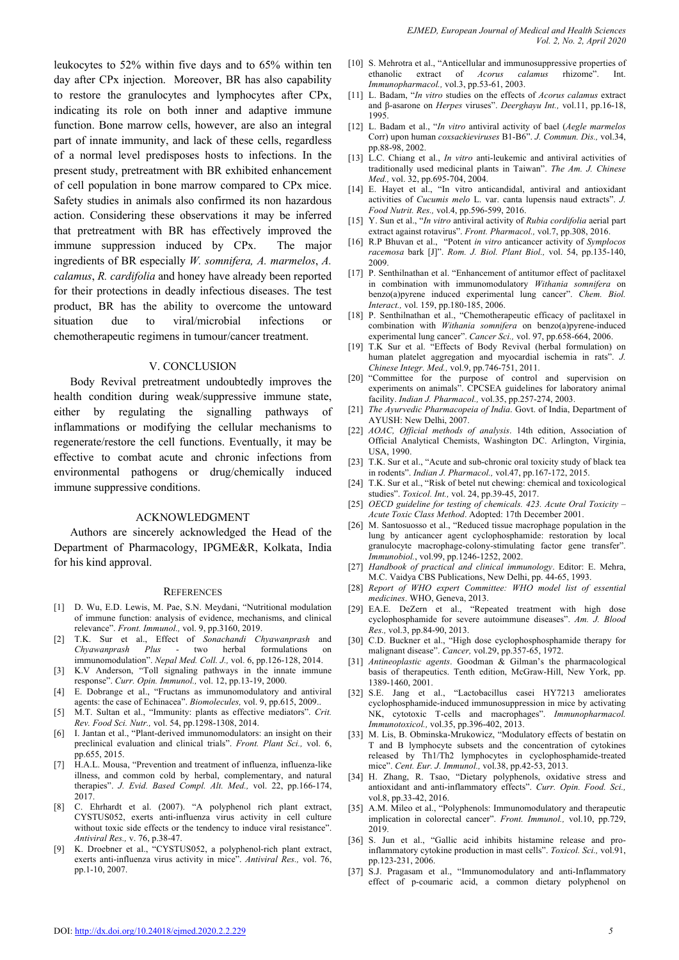leukocytes to 52% within five days and to 65% within ten day after CPx injection. Moreover, BR has also capability to restore the granulocytes and lymphocytes after CPx, indicating its role on both inner and adaptive immune function. Bone marrow cells, however, are also an integral part of innate immunity, and lack of these cells, regardless of a normal level predisposes hosts to infections. In the present study, pretreatment with BR exhibited enhancement of cell population in bone marrow compared to CPx mice. Safety studies in animals also confirmed its non hazardous action. Considering these observations it may be inferred that pretreatment with BR has effectively improved the immune suppression induced by CPx. The major ingredients of BR especially *W. somnifera, A. marmelos*, *A. calamus*, *R. cardifolia* and honey have already been reported for their protections in deadly infectious diseases. The test product, BR has the ability to overcome the untoward situation due to viral/microbial infections or chemotherapeutic regimens in tumour/cancer treatment.

#### V. CONCLUSION

Body Revival pretreatment undoubtedly improves the health condition during weak/suppressive immune state, either by regulating the signalling pathways of inflammations or modifying the cellular mechanisms to regenerate/restore the cell functions. Eventually, it may be effective to combat acute and chronic infections from environmental pathogens or drug/chemically induced immune suppressive conditions.

#### ACKNOWLEDGMENT

Authors are sincerely acknowledged the Head of the Department of Pharmacology, IPGME&R, Kolkata, India for his kind approval.

#### **REFERENCES**

- [1] D. Wu, E.D. Lewis, M. Pae, S.N. Meydani, "Nutritional modulation of immune function: analysis of evidence, mechanisms, and clinical relevance". *Front. Immunol.,* vol. 9, pp.3160, 2019.
- [2] T.K. Sur et al., Effect of *Sonachandi Chyawanprash* and *Chyawanprash Plus* - two herbal formulations on immunomodulation". *Nepal Med. Coll. J.,* vol. 6, pp.126-128, 2014.
- [3] K.V Anderson, "Toll signaling pathways in the innate immune response". *Curr. Opin. Immunol.,* vol. 12, pp.13-19, 2000.
- [4] E. Dobrange et al., "Fructans as immunomodulatory and antiviral agents: the case of Echinacea". *Biomolecules,* vol. 9, pp.615, 2009..
- [5] M.T. Sultan et al., "Immunity: plants as effective mediators". *Crit. Rev. Food Sci. Nutr.,* vol. 54, pp.1298-1308, 2014.
- [6] I. Jantan et al., "Plant-derived immunomodulators: an insight on their preclinical evaluation and clinical trials". *Front. Plant Sci.,* vol. 6, pp.655, 2015.
- [7] H.A.L. Mousa, "Prevention and treatment of influenza, influenza-like illness, and common cold by herbal, complementary, and natural therapies". *J. Evid. Based Compl. Alt. Med.,* vol. 22, pp.166-174, 2017.
- [8] C. Ehrhardt et al. (2007). "A polyphenol rich plant extract, CYSTUS052, exerts anti-influenza virus activity in cell culture without toxic side effects or the tendency to induce viral resistance". *Antiviral Res.,* v. 76, p.38-47.
- [9] K. Droebner et al., "CYSTUS052, a polyphenol-rich plant extract, exerts anti-influenza virus activity in mice". *Antiviral Res.,* vol. 76, pp.1-10, 2007.
- [10] S. Mehrotra et al., "Anticellular and immunosuppressive properties of ethanolic extract of *Acorus calamus* rhizome". Int. *Immunopharmacol.,* vol.3, pp.53-61, 2003.
- [11] L. Badam, "*In vitro* studies on the effects of *Acorus calamus* extract and β-asarone on *Herpes* viruses". *Deerghayu Int.,* vol.11, pp.16-18, 1995.
- [12] L. Badam et al., "*In vitro* antiviral activity of bael (*Aegle marmelos* Corr) upon human *coxsackieviruses* B1-B6". *J. Commun. Dis.,* vol.34, pp.88-98, 2002.
- [13] L.C. Chiang et al., *In vitro* anti-leukemic and antiviral activities of traditionally used medicinal plants in Taiwan". *The Am. J. Chinese Med.,* vol. 32, pp.695-704, 2004.
- [14] E. Hayet et al., "In vitro anticandidal, antiviral and antioxidant activities of *Cucumis melo* L. var. canta lupensis naud extracts". *J. Food Nutrit. Res.,* vol.4, pp.596-599, 2016.
- [15] Y. Sun et al., "*In vitro* antiviral activity of *Rubia cordifolia* aerial part extract against rotavirus". *Front. Pharmacol.,* vol.7, pp.308, 2016.
- [16] R.P Bhuvan et al., "Potent *in vitro* anticancer activity of *Symplocos racemosa* bark [J]". *Rom. J. Biol. Plant Biol.,* vol. 54, pp.135-140, 2009.
- [17] P. Senthilnathan et al. "Enhancement of antitumor effect of paclitaxel in combination with immunomodulatory *Withania somnifera* on benzo(a)pyrene induced experimental lung cancer". *Chem. Biol. Interact.,* vol. 159, pp.180-185, 2006.
- [18] P. Senthilnathan et al., "Chemotherapeutic efficacy of paclitaxel in combination with *Withania somnifera* on benzo(a)pyrene-induced experimental lung cancer". *Cancer Sci.,* vol. 97, pp.658-664, 2006.
- [19] T.K Sur et al. "Effects of Body Revival (herbal formulation) on human platelet aggregation and myocardial ischemia in rats". *J. Chinese Integr. Med.,* vol.9, pp.746-751, 2011.
- [20] "Committee for the purpose of control and supervision on experiments on animals". CPCSEA guidelines for laboratory animal facility. *Indian J. Pharmacol.,* vol.35, pp.257-274, 2003.
- [21] *The Ayurvedic Pharmacopeia of India*. Govt. of India, Department of AYUSH: New Delhi, 2007.
- [22] *AOAC, Official methods of analysis*. 14th edition, Association of Official Analytical Chemists, Washington DC. Arlington, Virginia, USA, 1990.
- [23] T.K. Sur et al., "Acute and sub-chronic oral toxicity study of black tea in rodents". *Indian J. Pharmacol.,* vol.47, pp.167-172, 2015.
- [24] T.K. Sur et al., "Risk of betel nut chewing: chemical and toxicological studies". *Toxicol. Int.,* vol. 24, pp.39-45, 2017.
- [25] *OECD guideline for testing of chemicals. 423. Acute Oral Toxicity – Acute Toxic Class Method*. Adopted: 17th December 2001.
- [26] M. Santosuosso et al., "Reduced tissue macrophage population in the lung by anticancer agent cyclophosphamide: restoration by local granulocyte macrophage-colony-stimulating factor gene transfer". *Immunobiol.*, vol.99, pp.1246-1252, 2002.
- [27] *Handbook of practical and clinical immunology*. Editor: E. Mehra, M.C. Vaidya CBS Publications, New Delhi, pp. 44-65, 1993.
- [28] *Report of WHO expert Committee: WHO model list of essential medicines*. WHO, Geneva, 2013.
- [29] EA.E. DeZern et al., "Repeated treatment with high dose cyclophosphamide for severe autoimmune diseases". *Am. J. Blood Res.,* vol.3, pp.84-90, 2013.
- [30] C.D. Buckner et al., "High dose cyclophosphosphamide therapy for malignant disease". *Cancer,* vol.29, pp.357-65, 1972.
- [31] *Antineoplastic agents*. Goodman & Gilman's the pharmacological basis of therapeutics. Tenth edition, McGraw-Hill, New York, pp. 1389-1460, 2001.
- [32] S.E. Jang et al., "Lactobacillus casei HY7213 ameliorates cyclophosphamide-induced immunosuppression in mice by activating NK, cytotoxic T-cells and macrophages". *Immunopharmacol. Immunotoxicol.,* vol.35, pp.396-402, 2013.
- [33] M. Lis, B. Obminska-Mrukowicz, "Modulatory effects of bestatin on T and B lymphocyte subsets and the concentration of cytokines released by Th1/Th2 lymphocytes in cyclophosphamide-treated mice". *Cent. Eur. J. Immunol.,* vol.38, pp.42-53, 2013.
- [34] H. Zhang, R. Tsao, "Dietary polyphenols, oxidative stress and antioxidant and anti-inflammatory effects". *Curr. Opin. Food. Sci.,* vol.8, pp.33-42, 2016.
- [35] A.M. Mileo et al., "Polyphenols: Immunomodulatory and therapeutic implication in colorectal cancer". *Front. Immunol.,* vol.10, pp.729, 2019.
- [36] S. Jun et al., "Gallic acid inhibits histamine release and proinflammatory cytokine production in mast cells". *Toxicol. Sci.,* vol.91, pp.123-231, 2006.
- [37] S.J. Pragasam et al., "Immunomodulatory and anti-Inflammatory effect of p-coumaric acid, a common dietary polyphenol on